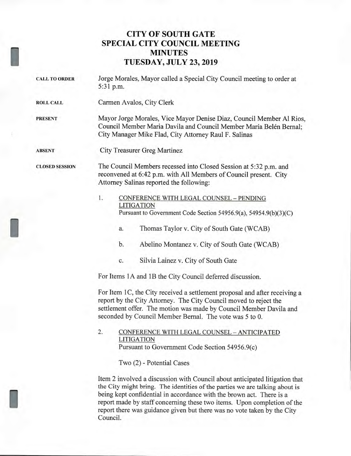## **CITY OF SOUTH GATE SPECIAL CITY COUNCIL MEETING MINUTES TUESDAY, JULY 23, 2019**

- **CALL TO ORDER** Jorge Morales, Mayor called a Special City Council meeting to order at 5:31 p.m.
- **ROLL CALL** Carmen Avalos, City Clerk

**PRESENT** Mayor Jorge Morales, Vice Mayor Denise Diaz, Council Member Al Rios, Council Member Maria Davila and Council Member María Belén Bernal; City Manager Mike Flad, City Attorney Raul F. Salinas

**ABSENT** City Treasurer Greg Martinez

**CLOSED SESSION** The Council Members recessed into Closed Session at 5:32 p.m. and reconvened at 6:42 p.m. with All Members of Council present. City Attorney Salinas reported the following:

- 1. CONFERENCE WITH LEGAL COUNSEL PENDING LITIGATION Pursuant to Government Code Section 54956.9(a), 54954.9(b)(3)(C)
	- a. Thomas Taylor v. City of South Gate (WCAB)
	- b. Abelino Montanez v. City of South Gate (WCAB)
	- c. Silvia Lainez v. City of South Gate

For Items 1A and 1B the City Council deferred discussion.

For Item 1C, the City received a settlement proposal and after receiving a report by the City Attorney. The City Council moved to reject the settlement offer. The motion was made by Council Member Davila and seconded by Council Member Bernal. The vote was 5 to 0.

2. CONFERENCE WITH LEGAL COUNSEL — ANTICIPATED LITIGATION Pursuant to Government Code Section 54956.9(c)

Two (2) - Potential Cases

Item 2 involved a discussion with Council about anticipated litigation that the City might bring. The identities of the parties we are talking about is being kept confidential in accordance with the brown act. There is a report made by staff concerning these two items. Upon completion of the report there was guidance given but there was no vote taken by the City Council.